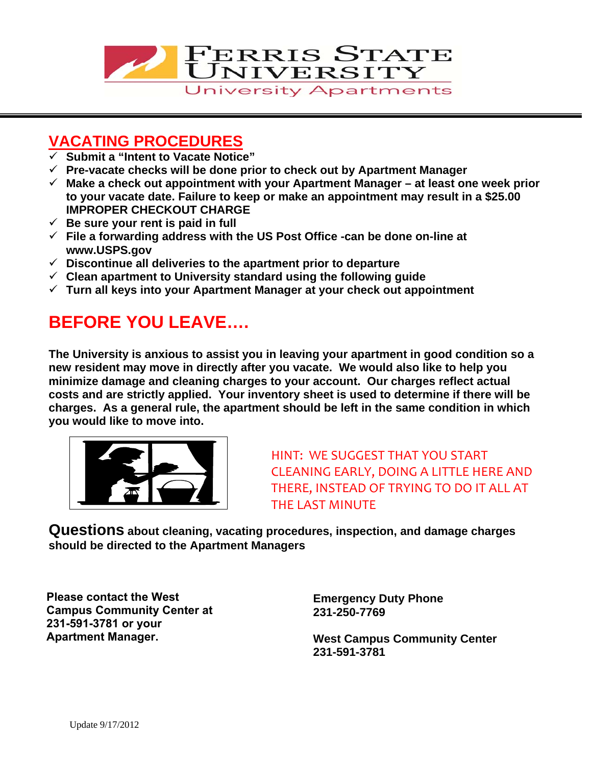

## **VACATING PROCEDURES**

- **Submit a "Intent to Vacate Notice"**
- **Pre-vacate checks will be done prior to check out by Apartment Manager**
- **Make a check out appointment with your Apartment Manager at least one week prior to your vacate date. Failure to keep or make an appointment may result in a \$25.00 IMPROPER CHECKOUT CHARGE**
- $\checkmark$  Be sure your rent is paid in full
- **File a forwarding address with the US Post Office -can be done on-line at www.USPS.gov**
- **Discontinue all deliveries to the apartment prior to departure**
- **Clean apartment to University standard using the following guide**
- **Turn all keys into your Apartment Manager at your check out appointment**

# **BEFORE YOU LEAVE….**

**The University is anxious to assist you in leaving your apartment in good condition so a new resident may move in directly after you vacate. We would also like to help you minimize damage and cleaning charges to your account. Our charges reflect actual costs and are strictly applied. Your inventory sheet is used to determine if there will be charges. As a general rule, the apartment should be left in the same condition in which you would like to move into.** 



HINT: WE SUGGEST THAT YOU START CLEANING EARLY, DOING A LITTLE HERE AND THERE, INSTEAD OF TRYING TO DO IT ALL AT THE LAST MINUTE

**Questions about cleaning, vacating procedures, inspection, and damage charges should be directed to the Apartment Managers** 

**Please contact the West Campus Community Center at 231-591-3781 or your Apartment Manager.**

**Emergency Duty Phone 231-250-7769** 

**West Campus Community Center 231-591-3781**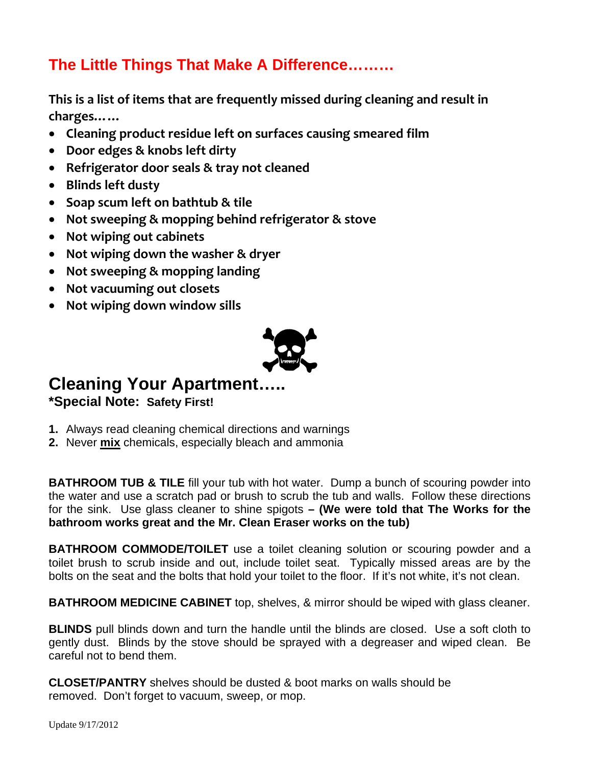## **The Little Things That Make A Difference………**

**This is a list of items that are frequently missed during cleaning and result in charges……**

- **Cleaning product residue left on surfaces causing smeared film**
- **Door edges & knobs left dirty**
- **Refrigerator door seals & tray not cleaned**
- **Blinds left dusty**
- **Soap scum left on bathtub & tile**
- **Not sweeping & mopping behind refrigerator & stove**
- **Not wiping out cabinets**
- **Not wiping down the washer & dryer**
- **Not sweeping & mopping landing**
- **Not vacuuming out closets**
- **Not wiping down window sills**



### **Cleaning Your Apartment….. \*Special Note: Safety First!**

- **1.** Always read cleaning chemical directions and warnings
- **2.** Never **mix** chemicals, especially bleach and ammonia

**BATHROOM TUB & TILE** fill your tub with hot water. Dump a bunch of scouring powder into the water and use a scratch pad or brush to scrub the tub and walls. Follow these directions for the sink. Use glass cleaner to shine spigots **– (We were told that The Works for the bathroom works great and the Mr. Clean Eraser works on the tub)** 

**BATHROOM COMMODE/TOILET** use a toilet cleaning solution or scouring powder and a toilet brush to scrub inside and out, include toilet seat. Typically missed areas are by the bolts on the seat and the bolts that hold your toilet to the floor. If it's not white, it's not clean.

**BATHROOM MEDICINE CABINET** top, shelves, & mirror should be wiped with glass cleaner.

**BLINDS** pull blinds down and turn the handle until the blinds are closed. Use a soft cloth to gently dust. Blinds by the stove should be sprayed with a degreaser and wiped clean. Be careful not to bend them.

**CLOSET/PANTRY** shelves should be dusted & boot marks on walls should be removed. Don't forget to vacuum, sweep, or mop.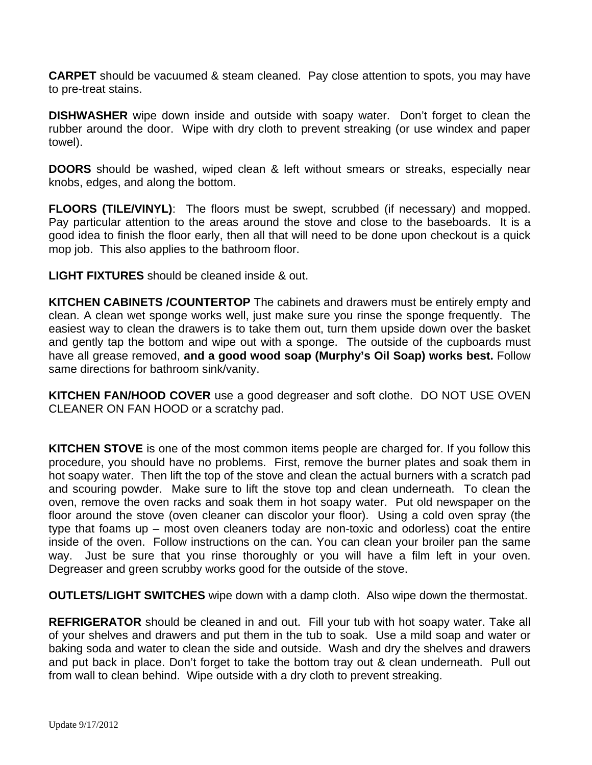**CARPET** should be vacuumed & steam cleaned. Pay close attention to spots, you may have to pre-treat stains.

**DISHWASHER** wipe down inside and outside with soapy water. Don't forget to clean the rubber around the door. Wipe with dry cloth to prevent streaking (or use windex and paper towel).

**DOORS** should be washed, wiped clean & left without smears or streaks, especially near knobs, edges, and along the bottom.

**FLOORS (TILE/VINYL)**:The floors must be swept, scrubbed (if necessary) and mopped. Pay particular attention to the areas around the stove and close to the baseboards. It is a good idea to finish the floor early, then all that will need to be done upon checkout is a quick mop job. This also applies to the bathroom floor.

**LIGHT FIXTURES** should be cleaned inside & out.

**KITCHEN CABINETS /COUNTERTOP** The cabinets and drawers must be entirely empty and clean. A clean wet sponge works well, just make sure you rinse the sponge frequently. The easiest way to clean the drawers is to take them out, turn them upside down over the basket and gently tap the bottom and wipe out with a sponge. The outside of the cupboards must have all grease removed, **and a good wood soap (Murphy's Oil Soap) works best.** Follow same directions for bathroom sink/vanity.

**KITCHEN FAN/HOOD COVER** use a good degreaser and soft clothe. DO NOT USE OVEN CLEANER ON FAN HOOD or a scratchy pad.

**KITCHEN STOVE** is one of the most common items people are charged for. If you follow this procedure, you should have no problems. First, remove the burner plates and soak them in hot soapy water. Then lift the top of the stove and clean the actual burners with a scratch pad and scouring powder. Make sure to lift the stove top and clean underneath. To clean the oven, remove the oven racks and soak them in hot soapy water. Put old newspaper on the floor around the stove (oven cleaner can discolor your floor). Using a cold oven spray (the type that foams up – most oven cleaners today are non-toxic and odorless) coat the entire inside of the oven. Follow instructions on the can. You can clean your broiler pan the same way. Just be sure that you rinse thoroughly or you will have a film left in your oven. Degreaser and green scrubby works good for the outside of the stove.

**OUTLETS/LIGHT SWITCHES** wipe down with a damp cloth. Also wipe down the thermostat.

**REFRIGERATOR** should be cleaned in and out. Fill your tub with hot soapy water. Take all of your shelves and drawers and put them in the tub to soak. Use a mild soap and water or baking soda and water to clean the side and outside. Wash and dry the shelves and drawers and put back in place. Don't forget to take the bottom tray out & clean underneath. Pull out from wall to clean behind. Wipe outside with a dry cloth to prevent streaking.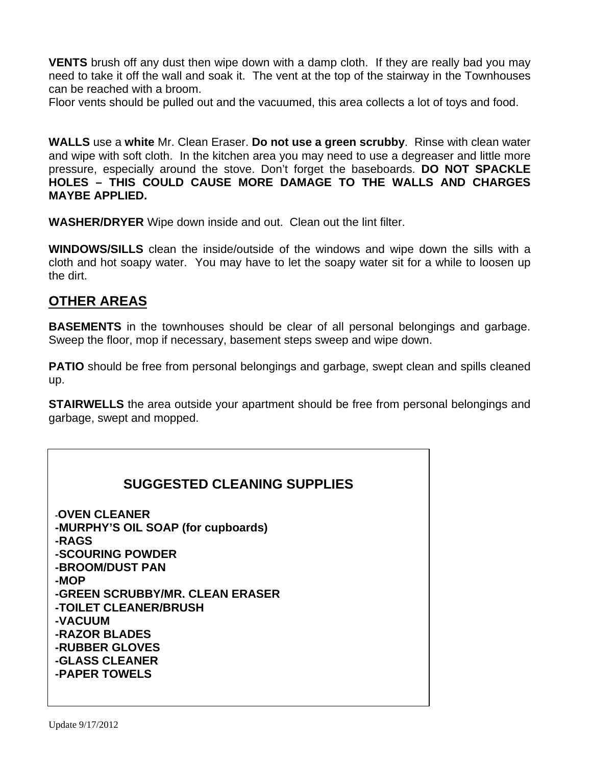**VENTS** brush off any dust then wipe down with a damp cloth. If they are really bad you may need to take it off the wall and soak it. The vent at the top of the stairway in the Townhouses can be reached with a broom.

Floor vents should be pulled out and the vacuumed, this area collects a lot of toys and food.

**WALLS** use a **white** Mr. Clean Eraser. **Do not use a green scrubby**. Rinse with clean water and wipe with soft cloth. In the kitchen area you may need to use a degreaser and little more pressure, especially around the stove. Don't forget the baseboards. **DO NOT SPACKLE HOLES – THIS COULD CAUSE MORE DAMAGE TO THE WALLS AND CHARGES MAYBE APPLIED.** 

**WASHER/DRYER** Wipe down inside and out. Clean out the lint filter.

**WINDOWS/SILLS** clean the inside/outside of the windows and wipe down the sills with a cloth and hot soapy water. You may have to let the soapy water sit for a while to loosen up the dirt.

#### **OTHER AREAS**

**BASEMENTS** in the townhouses should be clear of all personal belongings and garbage. Sweep the floor, mop if necessary, basement steps sweep and wipe down.

**PATIO** should be free from personal belongings and garbage, swept clean and spills cleaned up.

**STAIRWELLS** the area outside your apartment should be free from personal belongings and garbage, swept and mopped.

#### **SUGGESTED CLEANING SUPPLIES**

**-OVEN CLEANER -MURPHY'S OIL SOAP (for cupboards) -RAGS -SCOURING POWDER -BROOM/DUST PAN -MOP -GREEN SCRUBBY/MR. CLEAN ERASER -TOILET CLEANER/BRUSH -VACUUM -RAZOR BLADES -RUBBER GLOVES -GLASS CLEANER -PAPER TOWELS**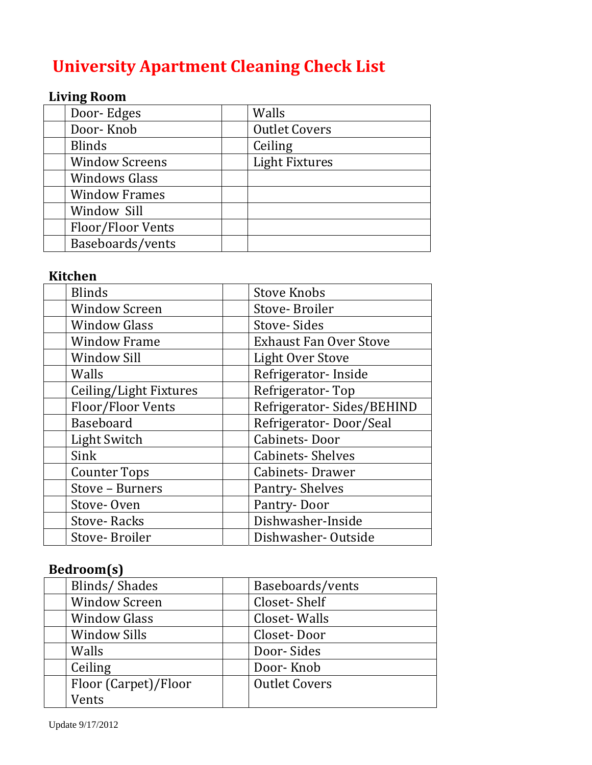# **University Apartment Cleaning Check List**

## **Living Room**

| Door-Edges            | Walls                 |
|-----------------------|-----------------------|
| Door-Knob             | <b>Outlet Covers</b>  |
| <b>Blinds</b>         | Ceiling               |
| <b>Window Screens</b> | <b>Light Fixtures</b> |
| <b>Windows Glass</b>  |                       |
| <b>Window Frames</b>  |                       |
| Window Sill           |                       |
| Floor/Floor Vents     |                       |
| Baseboards/vents      |                       |

#### **Kitchen**

| <b>Blinds</b>          | <b>Stove Knobs</b>            |
|------------------------|-------------------------------|
| <b>Window Screen</b>   | Stove-Broiler                 |
| <b>Window Glass</b>    | <b>Stove-Sides</b>            |
| <b>Window Frame</b>    | <b>Exhaust Fan Over Stove</b> |
| <b>Window Sill</b>     | <b>Light Over Stove</b>       |
| Walls                  | Refrigerator-Inside           |
| Ceiling/Light Fixtures | Refrigerator-Top              |
| Floor/Floor Vents      | Refrigerator-Sides/BEHIND     |
| Baseboard              | Refrigerator-Door/Seal        |
| Light Switch           | <b>Cabinets-Door</b>          |
| Sink                   | <b>Cabinets-Shelves</b>       |
| <b>Counter Tops</b>    | Cabinets-Drawer               |
| Stove - Burners        | Pantry-Shelves                |
| Stove-Oven             | Pantry-Door                   |
| <b>Stove-Racks</b>     | Dishwasher-Inside             |
| Stove-Broiler          | Dishwasher-Outside            |

### **Bedroom(s)**

| Blinds/Shades        | Baseboards/vents     |
|----------------------|----------------------|
| <b>Window Screen</b> | Closet-Shelf         |
| <b>Window Glass</b>  | Closet-Walls         |
| <b>Window Sills</b>  | Closet-Door          |
| Walls                | Door-Sides           |
| Ceiling              | Door-Knob            |
| Floor (Carpet)/Floor | <b>Outlet Covers</b> |
| Vents                |                      |